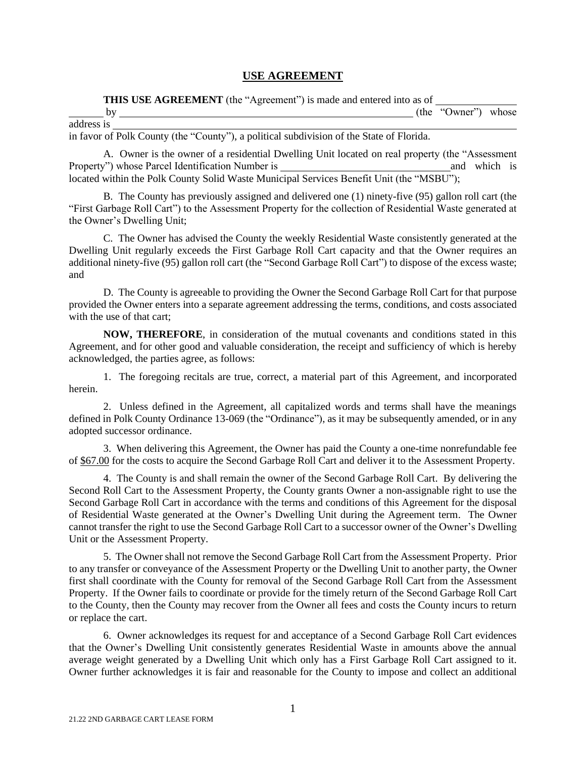## **USE AGREEMENT**

**THIS USE AGREEMENT** (the "Agreement") is made and entered into as of

|                                                                                          | (the "Owner") whose |  |
|------------------------------------------------------------------------------------------|---------------------|--|
| address is                                                                               |                     |  |
| in favor of Polk County (the "County"), a political subdivision of the State of Florida. |                     |  |

A. Owner is the owner of a residential Dwelling Unit located on real property (the "Assessment

Property") whose Parcel Identification Number is and which is and which is located within the Polk County Solid Waste Municipal Services Benefit Unit (the "MSBU");

 B. The County has previously assigned and delivered one (1) ninety-five (95) gallon roll cart (the "First Garbage Roll Cart") to the Assessment Property for the collection of Residential Waste generated at the Owner's Dwelling Unit;

 C. The Owner has advised the County the weekly Residential Waste consistently generated at the Dwelling Unit regularly exceeds the First Garbage Roll Cart capacity and that the Owner requires an additional ninety-five (95) gallon roll cart (the "Second Garbage Roll Cart") to dispose of the excess waste; and

 D. The County is agreeable to providing the Owner the Second Garbage Roll Cart for that purpose provided the Owner enters into a separate agreement addressing the terms, conditions, and costs associated with the use of that cart;

**NOW, THEREFORE**, in consideration of the mutual covenants and conditions stated in this Agreement, and for other good and valuable consideration, the receipt and sufficiency of which is hereby acknowledged, the parties agree, as follows:

 1. The foregoing recitals are true, correct, a material part of this Agreement, and incorporated herein.

 2. Unless defined in the Agreement, all capitalized words and terms shall have the meanings defined in Polk County Ordinance 13-069 (the "Ordinance"), as it may be subsequently amended, or in any adopted successor ordinance.

 3. When delivering this Agreement, the Owner has paid the County a one-time nonrefundable fee of \$67.00 for the costs to acquire the Second Garbage Roll Cart and deliver it to the Assessment Property.

 4. The County is and shall remain the owner of the Second Garbage Roll Cart. By delivering the Second Roll Cart to the Assessment Property, the County grants Owner a non-assignable right to use the Second Garbage Roll Cart in accordance with the terms and conditions of this Agreement for the disposal of Residential Waste generated at the Owner's Dwelling Unit during the Agreement term. The Owner cannot transfer the right to use the Second Garbage Roll Cart to a successor owner of the Owner's Dwelling Unit or the Assessment Property.

 5. The Owner shall not remove the Second Garbage Roll Cart from the Assessment Property. Prior to any transfer or conveyance of the Assessment Property or the Dwelling Unit to another party, the Owner first shall coordinate with the County for removal of the Second Garbage Roll Cart from the Assessment Property. If the Owner fails to coordinate or provide for the timely return of the Second Garbage Roll Cart to the County, then the County may recover from the Owner all fees and costs the County incurs to return or replace the cart.

 6. Owner acknowledges its request for and acceptance of a Second Garbage Roll Cart evidences that the Owner's Dwelling Unit consistently generates Residential Waste in amounts above the annual average weight generated by a Dwelling Unit which only has a First Garbage Roll Cart assigned to it. Owner further acknowledges it is fair and reasonable for the County to impose and collect an additional